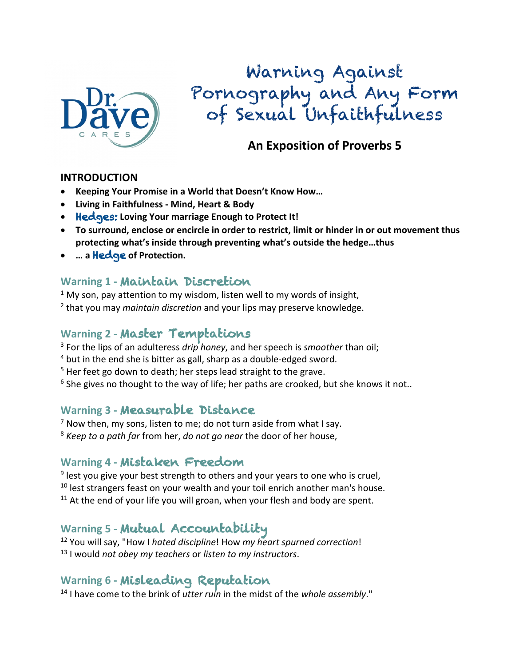

Warning Against Pornography and Any Form of Sexual Unfaithfulness

## **An Exposition of Proverbs 5**

#### **INTRODUCTION**

- **Keeping Your Promise in a World that Doesn't Know How…**
- **Living in Faithfulness - Mind, Heart & Body**
- Hedges: **Loving Your marriage Enough to Protect It!**
- **To surround, enclose or encircle in order to restrict, limit or hinder in or out movement thus protecting what's inside through preventing what's outside the hedge…thus**
- **… a** Hedge **of Protection.**

#### **Warning 1 -** Maintain Discretion

- $1$  My son, pay attention to my wisdom, listen well to my words of insight,
- <sup>2</sup> that you may *maintain discretion* and your lips may preserve knowledge.

### **Warning 2 -** Master Temptations

- <sup>3</sup> For the lips of an adulteress *drip honey*, and her speech is *smoother* than oil;
- <sup>4</sup> but in the end she is bitter as gall, sharp as a double-edged sword.
- $5$  Her feet go down to death; her steps lead straight to the grave.
- $6$  She gives no thought to the way of life; her paths are crooked, but she knows it not..

#### **Warning 3 -** Measurable Distance

- $<sup>7</sup>$  Now then, my sons, listen to me; do not turn aside from what I say.</sup>
- <sup>8</sup> *Keep to a path far* from her, *do not go near* the door of her house,

#### **Warning 4 -** Mistaken Freedom

- $9$  lest you give your best strength to others and your years to one who is cruel,
- $10$  lest strangers feast on your wealth and your toil enrich another man's house.
- $11$  At the end of your life you will groan, when your flesh and body are spent.

## **Warning 5 -** Mutual Accountability

<sup>12</sup> You will say, "How I *hated discipline*! How *my heart spurned correction*! <sup>13</sup> I would *not obey my teachers* or *listen to my instructors*.

#### **Warning 6 -** Misleading Reputation

<sup>14</sup> I have come to the brink of *utter ruin* in the midst of the *whole assembly*."